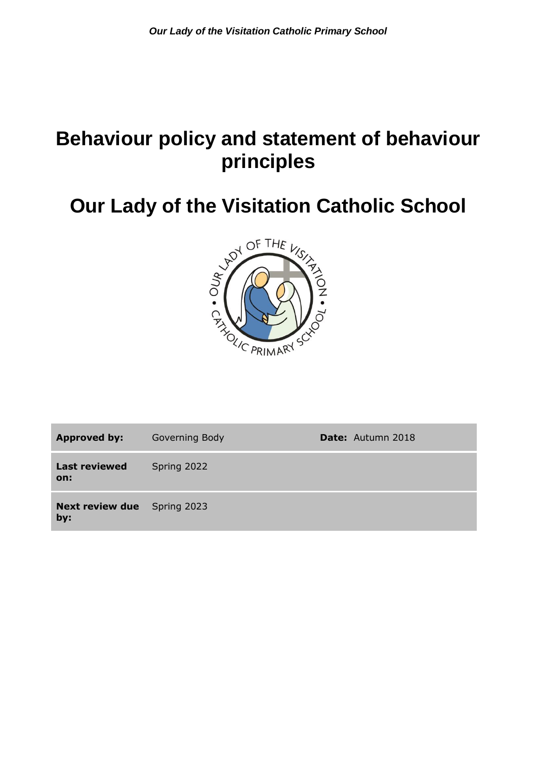# **Behaviour policy and statement of behaviour principles**



| <b>Approved by:</b>                       | Governing Body | <b>Date:</b> Autumn 2018 |
|-------------------------------------------|----------------|--------------------------|
| <b>Last reviewed</b><br>on:               | Spring 2022    |                          |
| <b>Next review due</b> Spring 2023<br>by: |                |                          |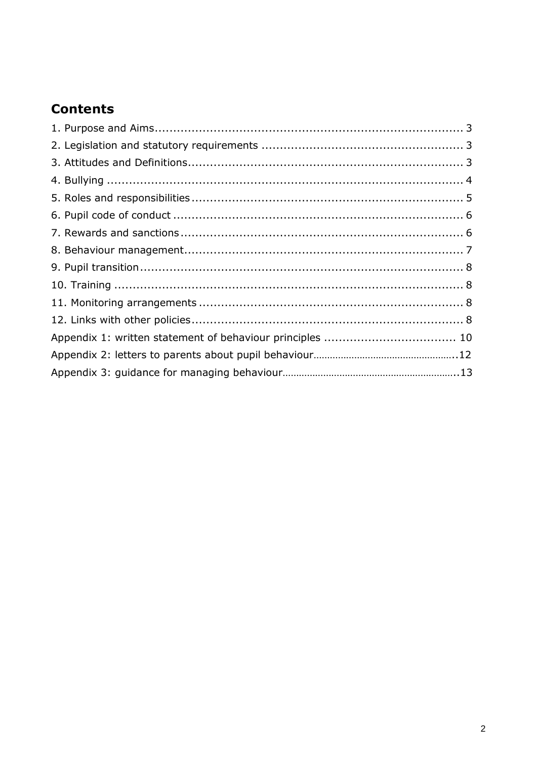# **Contents**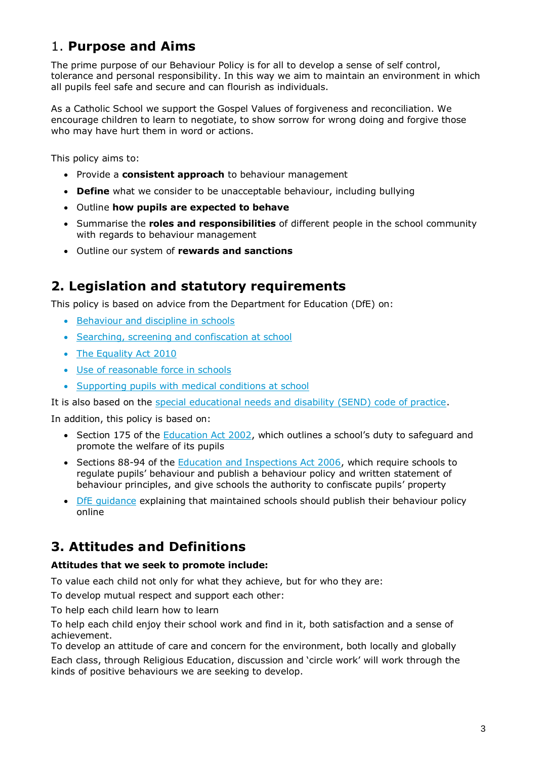# 1. **Purpose and Aims**

The prime purpose of our Behaviour Policy is for all to develop a sense of self control, tolerance and personal responsibility. In this way we aim to maintain an environment in which all pupils feel safe and secure and can flourish as individuals.

As a Catholic School we support the Gospel Values of forgiveness and reconciliation. We encourage children to learn to negotiate, to show sorrow for wrong doing and forgive those who may have hurt them in word or actions.

This policy aims to:

- Provide a **consistent approach** to behaviour management
- **Define** what we consider to be unacceptable behaviour, including bullying
- Outline **how pupils are expected to behave**
- Summarise the **roles and responsibilities** of different people in the school community with regards to behaviour management
- Outline our system of **rewards and sanctions**

### **2. Legislation and statutory requirements**

This policy is based on advice from the Department for Education (DfE) on:

- [Behaviour and discipline in schools](https://www.gov.uk/government/publications/behaviour-and-discipline-in-schools)
- [Searching, screening and confiscation at school](https://www.gov.uk/government/publications/searching-screening-and-confiscation)
- [The Equality Act](https://www.gov.uk/government/publications/equality-act-2010-advice-for-schools) 2010
- [Use of reasonable force in schools](https://www.gov.uk/government/publications/use-of-reasonable-force-in-schools)
- [Supporting pupils with medical conditions at school](https://www.gov.uk/government/publications/supporting-pupils-at-school-with-medical-conditions--3)

It is also based on the [special educational needs and disability \(SEND\) code of practice.](https://www.gov.uk/government/publications/send-code-of-practice-0-to-25)

In addition, this policy is based on:

- Section 175 of the [Education Act 2002](http://www.legislation.gov.uk/ukpga/2002/32/section/175), which outlines a school's duty to safeguard and promote the welfare of its pupils
- Sections 88-94 of the [Education and Inspections Act 2006,](http://www.legislation.gov.uk/ukpga/2006/40/section/88) which require schools to regulate pupils' behaviour and publish a behaviour policy and written statement of behaviour principles, and give schools the authority to confiscate pupils' property
- [DfE guidance](https://www.gov.uk/guidance/what-maintained-schools-must-publish-online#behaviour-policy) explaining that maintained schools should publish their behaviour policy online

# **3. Attitudes and Definitions**

#### **Attitudes that we seek to promote include:**

To value each child not only for what they achieve, but for who they are:

To develop mutual respect and support each other:

To help each child learn how to learn

To help each child enjoy their school work and find in it, both satisfaction and a sense of achievement.

To develop an attitude of care and concern for the environment, both locally and globally

Each class, through Religious Education, discussion and 'circle work' will work through the kinds of positive behaviours we are seeking to develop.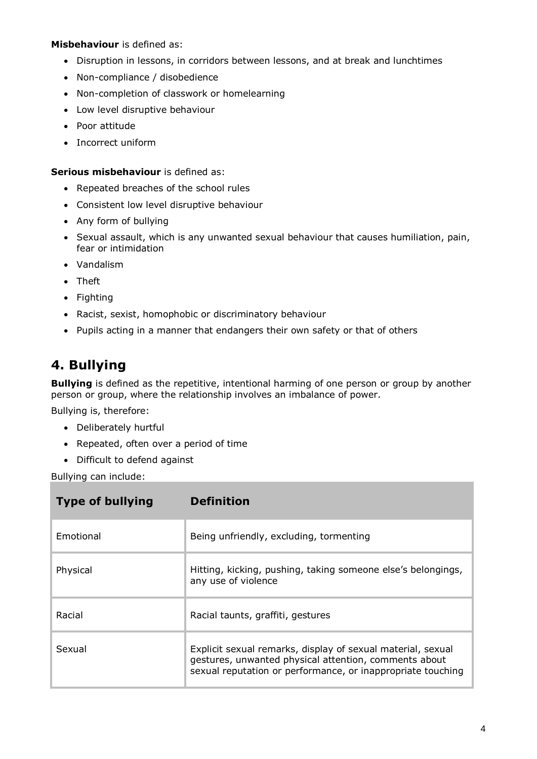#### **Misbehaviour** is defined as:

- Disruption in lessons, in corridors between lessons, and at break and lunchtimes
- Non-compliance / disobedience
- Non-completion of classwork or homelearning
- Low level disruptive behaviour
- Poor attitude
- Incorrect uniform

#### **Serious misbehaviour** is defined as:

- Repeated breaches of the school rules
- Consistent low level disruptive behaviour
- Any form of bullying
- Sexual assault, which is any unwanted sexual behaviour that causes humiliation, pain, fear or intimidation
- Vandalism
- Theft
- Fighting
- Racist, sexist, homophobic or discriminatory behaviour
- Pupils acting in a manner that endangers their own safety or that of others

### **4. Bullying**

**Bullying** is defined as the repetitive, intentional harming of one person or group by another person or group, where the relationship involves an imbalance of power.

Bullying is, therefore:

- Deliberately hurtful
- Repeated, often over a period of time
- Difficult to defend against

Bullying can include:

| <b>Type of bullying</b> | <b>Definition</b>                                                                                                                                                                   |
|-------------------------|-------------------------------------------------------------------------------------------------------------------------------------------------------------------------------------|
| Emotional               | Being unfriendly, excluding, tormenting                                                                                                                                             |
| Physical                | Hitting, kicking, pushing, taking someone else's belongings,<br>any use of violence                                                                                                 |
| Racial                  | Racial taunts, graffiti, gestures                                                                                                                                                   |
| Sexual                  | Explicit sexual remarks, display of sexual material, sexual<br>gestures, unwanted physical attention, comments about<br>sexual reputation or performance, or inappropriate touching |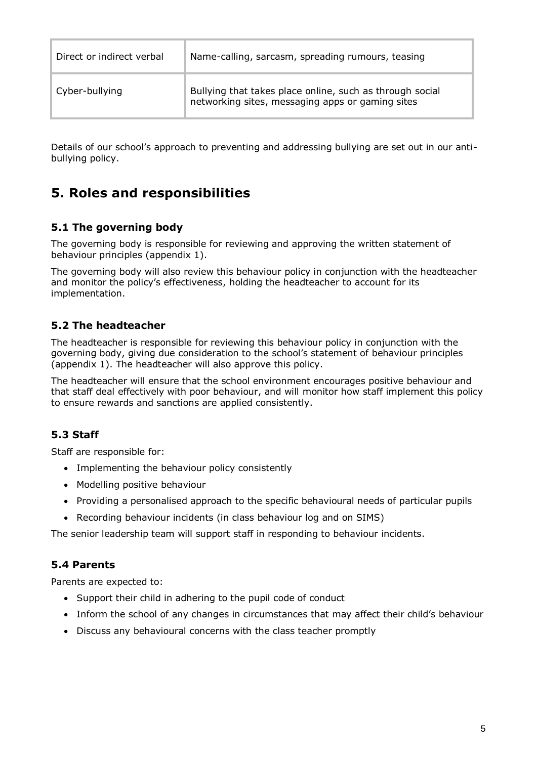| Direct or indirect verbal | Name-calling, sarcasm, spreading rumours, teasing                                                            |
|---------------------------|--------------------------------------------------------------------------------------------------------------|
| Cyber-bullying            | Bullying that takes place online, such as through social<br>networking sites, messaging apps or gaming sites |

Details of our school's approach to preventing and addressing bullying are set out in our antibullying policy.

# **5. Roles and responsibilities**

#### **5.1 The governing body**

The governing body is responsible for reviewing and approving the written statement of behaviour principles (appendix 1).

The governing body will also review this behaviour policy in conjunction with the headteacher and monitor the policy's effectiveness, holding the headteacher to account for its implementation.

#### **5.2 The headteacher**

The headteacher is responsible for reviewing this behaviour policy in conjunction with the governing body, giving due consideration to the school's statement of behaviour principles (appendix 1). The headteacher will also approve this policy.

The headteacher will ensure that the school environment encourages positive behaviour and that staff deal effectively with poor behaviour, and will monitor how staff implement this policy to ensure rewards and sanctions are applied consistently.

### **5.3 Staff**

Staff are responsible for:

- Implementing the behaviour policy consistently
- Modelling positive behaviour
- Providing a personalised approach to the specific behavioural needs of particular pupils
- Recording behaviour incidents (in class behaviour log and on SIMS)

The senior leadership team will support staff in responding to behaviour incidents.

#### **5.4 Parents**

Parents are expected to:

- Support their child in adhering to the pupil code of conduct
- Inform the school of any changes in circumstances that may affect their child's behaviour
- Discuss any behavioural concerns with the class teacher promptly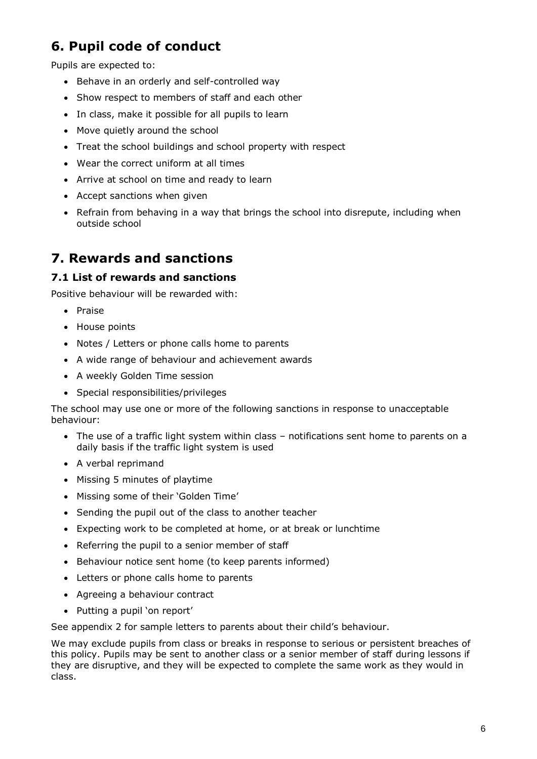# **6. Pupil code of conduct**

Pupils are expected to:

- Behave in an orderly and self-controlled way
- Show respect to members of staff and each other
- In class, make it possible for all pupils to learn
- Move quietly around the school
- Treat the school buildings and school property with respect
- Wear the correct uniform at all times
- Arrive at school on time and ready to learn
- Accept sanctions when given
- Refrain from behaving in a way that brings the school into disrepute, including when outside school

### **7. Rewards and sanctions**

#### **7.1 List of rewards and sanctions**

Positive behaviour will be rewarded with:

- Praise
- House points
- Notes / Letters or phone calls home to parents
- A wide range of behaviour and achievement awards
- A weekly Golden Time session
- Special responsibilities/privileges

The school may use one or more of the following sanctions in response to unacceptable behaviour:

- The use of a traffic light system within class notifications sent home to parents on a daily basis if the traffic light system is used
- A verbal reprimand
- Missing 5 minutes of playtime
- Missing some of their 'Golden Time'
- Sending the pupil out of the class to another teacher
- Expecting work to be completed at home, or at break or lunchtime
- Referring the pupil to a senior member of staff
- Behaviour notice sent home (to keep parents informed)
- Letters or phone calls home to parents
- Agreeing a behaviour contract
- Putting a pupil 'on report'

See appendix 2 for sample letters to parents about their child's behaviour.

We may exclude pupils from class or breaks in response to serious or persistent breaches of this policy. Pupils may be sent to another class or a senior member of staff during lessons if they are disruptive, and they will be expected to complete the same work as they would in class.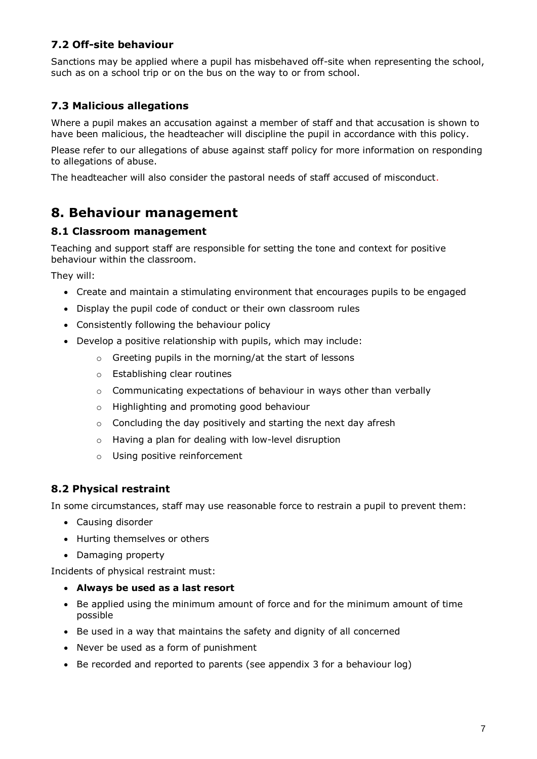### **7.2 Off-site behaviour**

Sanctions may be applied where a pupil has misbehaved off-site when representing the school, such as on a school trip or on the bus on the way to or from school.

### **7.3 Malicious allegations**

Where a pupil makes an accusation against a member of staff and that accusation is shown to have been malicious, the headteacher will discipline the pupil in accordance with this policy.

Please refer to our allegations of abuse against staff policy for more information on responding to allegations of abuse.

The headteacher will also consider the pastoral needs of staff accused of misconduct.

# **8. Behaviour management**

#### **8.1 Classroom management**

Teaching and support staff are responsible for setting the tone and context for positive behaviour within the classroom.

They will:

- Create and maintain a stimulating environment that encourages pupils to be engaged
- Display the pupil code of conduct or their own classroom rules
- Consistently following the behaviour policy
- Develop a positive relationship with pupils, which may include:
	- o Greeting pupils in the morning/at the start of lessons
	- o Establishing clear routines
	- o Communicating expectations of behaviour in ways other than verbally
	- o Highlighting and promoting good behaviour
	- $\circ$  Concluding the day positively and starting the next day afresh
	- o Having a plan for dealing with low-level disruption
	- o Using positive reinforcement

#### **8.2 Physical restraint**

In some circumstances, staff may use reasonable force to restrain a pupil to prevent them:

- Causing disorder
- Hurting themselves or others
- Damaging property

Incidents of physical restraint must:

- **Always be used as a last resort**
- Be applied using the minimum amount of force and for the minimum amount of time possible
- Be used in a way that maintains the safety and dignity of all concerned
- Never be used as a form of punishment
- $\bullet$  Be recorded and reported to parents (see appendix 3 for a behaviour log)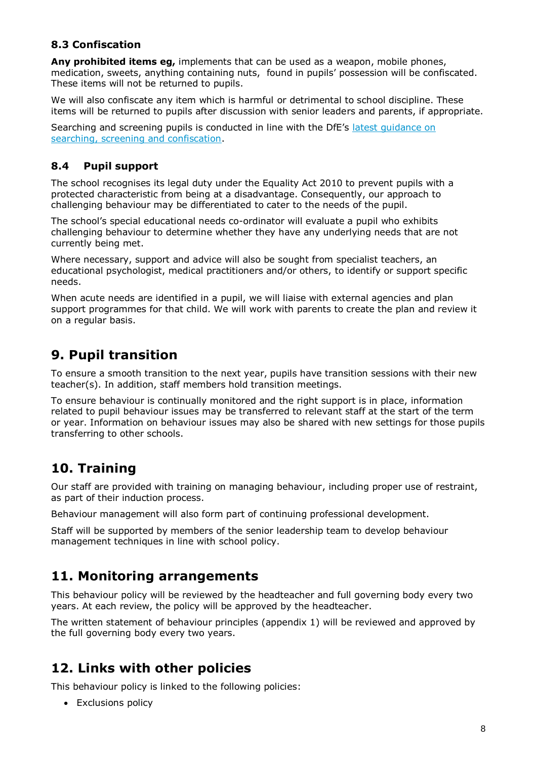#### **8.3 Confiscation**

**Any prohibited items eg,** implements that can be used as a weapon, mobile phones, medication, sweets, anything containing nuts, found in pupils' possession will be confiscated. These items will not be returned to pupils.

We will also confiscate any item which is harmful or detrimental to school discipline. These items will be returned to pupils after discussion with senior leaders and parents, if appropriate.

Searching and screening pupils is conducted in line with the DfE's [latest guidance on](https://www.gov.uk/government/publications/searching-screening-and-confiscation)  [searching, screening and confiscation.](https://www.gov.uk/government/publications/searching-screening-and-confiscation)

#### **8.4 Pupil support**

The school recognises its legal duty under the Equality Act 2010 to prevent pupils with a protected characteristic from being at a disadvantage. Consequently, our approach to challenging behaviour may be differentiated to cater to the needs of the pupil.

The school's special educational needs co-ordinator will evaluate a pupil who exhibits challenging behaviour to determine whether they have any underlying needs that are not currently being met.

Where necessary, support and advice will also be sought from specialist teachers, an educational psychologist, medical practitioners and/or others, to identify or support specific needs.

When acute needs are identified in a pupil, we will liaise with external agencies and plan support programmes for that child. We will work with parents to create the plan and review it on a regular basis.

### **9. Pupil transition**

To ensure a smooth transition to the next year, pupils have transition sessions with their new teacher(s). In addition, staff members hold transition meetings.

To ensure behaviour is continually monitored and the right support is in place, information related to pupil behaviour issues may be transferred to relevant staff at the start of the term or year. Information on behaviour issues may also be shared with new settings for those pupils transferring to other schools.

# **10. Training**

Our staff are provided with training on managing behaviour, including proper use of restraint, as part of their induction process.

Behaviour management will also form part of continuing professional development.

Staff will be supported by members of the senior leadership team to develop behaviour management techniques in line with school policy.

### **11. Monitoring arrangements**

This behaviour policy will be reviewed by the headteacher and full governing body every two years. At each review, the policy will be approved by the headteacher.

The written statement of behaviour principles (appendix 1) will be reviewed and approved by the full governing body every two years.

### **12. Links with other policies**

This behaviour policy is linked to the following policies:

• Exclusions policy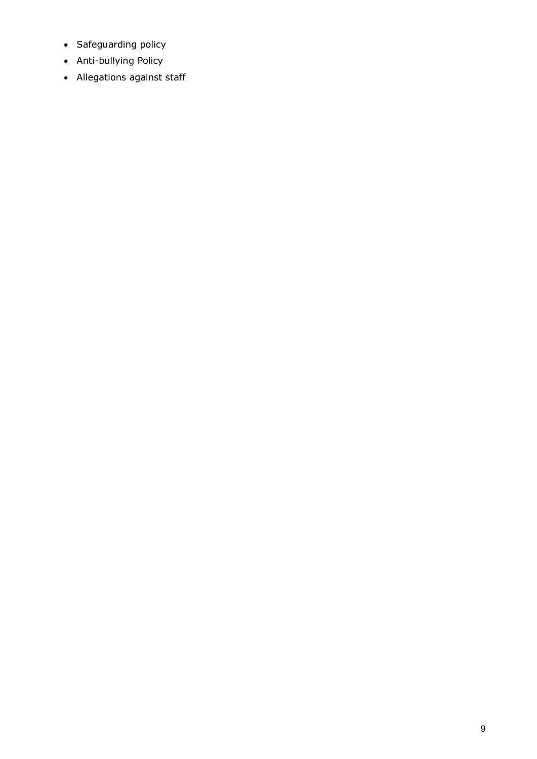- Safeguarding policy
- Anti-bullying Policy
- Allegations against staff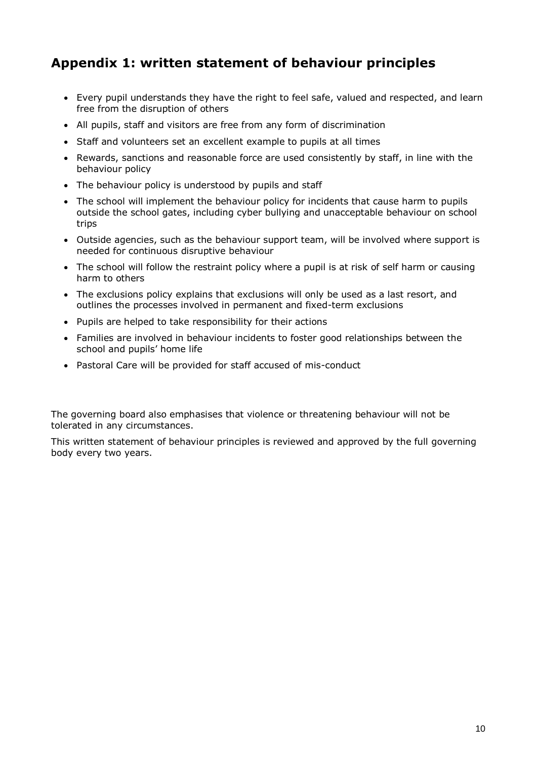# **Appendix 1: written statement of behaviour principles**

- Every pupil understands they have the right to feel safe, valued and respected, and learn free from the disruption of others
- All pupils, staff and visitors are free from any form of discrimination
- Staff and volunteers set an excellent example to pupils at all times
- Rewards, sanctions and reasonable force are used consistently by staff, in line with the behaviour policy
- The behaviour policy is understood by pupils and staff
- The school will implement the behaviour policy for incidents that cause harm to pupils outside the school gates, including cyber bullying and unacceptable behaviour on school trips
- Outside agencies, such as the behaviour support team, will be involved where support is needed for continuous disruptive behaviour
- The school will follow the restraint policy where a pupil is at risk of self harm or causing harm to others
- The exclusions policy explains that exclusions will only be used as a last resort, and outlines the processes involved in permanent and fixed-term exclusions
- Pupils are helped to take responsibility for their actions
- Families are involved in behaviour incidents to foster good relationships between the school and pupils' home life
- Pastoral Care will be provided for staff accused of mis-conduct

The governing board also emphasises that violence or threatening behaviour will not be tolerated in any circumstances.

This written statement of behaviour principles is reviewed and approved by the full governing body every two years.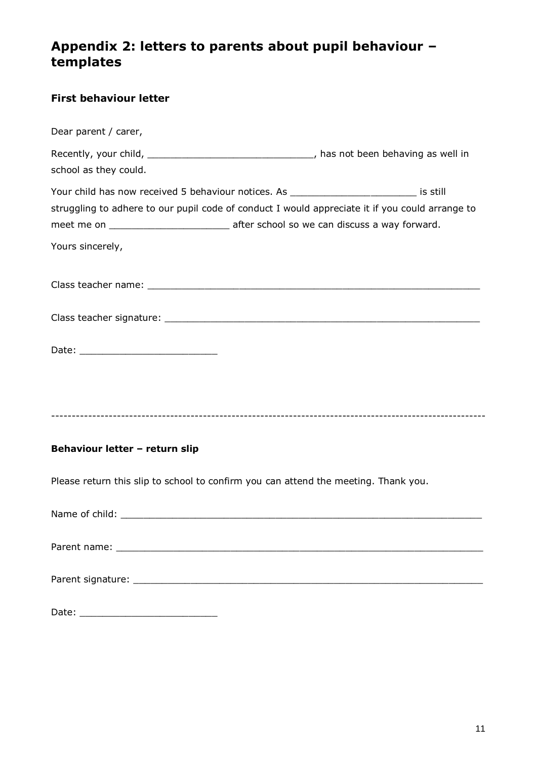### **Appendix 2: letters to parents about pupil behaviour – templates**

| <b>First behaviour letter</b>                                                                                                                                                                                   |
|-----------------------------------------------------------------------------------------------------------------------------------------------------------------------------------------------------------------|
| Dear parent / carer,                                                                                                                                                                                            |
| Recently, your child, ___________________________________, has not been behaving as well in<br>school as they could.                                                                                            |
| Your child has now received 5 behaviour notices. As ___________________________ is still<br>struggling to adhere to our pupil code of conduct I would appreciate it if you could arrange to<br>Yours sincerely, |
|                                                                                                                                                                                                                 |
|                                                                                                                                                                                                                 |
|                                                                                                                                                                                                                 |
| Behaviour letter - return slip                                                                                                                                                                                  |
| Please return this slip to school to confirm you can attend the meeting. Thank you.                                                                                                                             |
|                                                                                                                                                                                                                 |
|                                                                                                                                                                                                                 |
|                                                                                                                                                                                                                 |
|                                                                                                                                                                                                                 |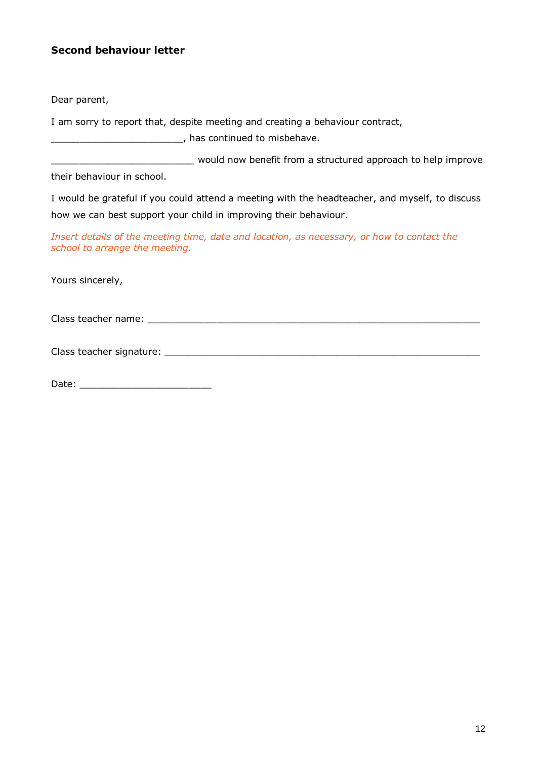#### **Second behaviour letter**

Dear parent,

I am sorry to report that, despite meeting and creating a behaviour contract,

\_\_\_\_\_\_\_\_\_\_\_\_\_\_\_\_\_\_\_\_\_\_\_, has continued to misbehave.

\_\_\_\_\_\_\_\_\_\_\_\_\_\_\_\_\_\_\_\_\_\_\_\_\_ would now benefit from a structured approach to help improve

their behaviour in school.

I would be grateful if you could attend a meeting with the headteacher, and myself, to discuss how we can best support your child in improving their behaviour.

*Insert details of the meeting time, date and location, as necessary, or how to contact the school to arrange the meeting.*

Yours sincerely,

Class teacher name: **Example 20** and the set of the set of the set of the set of the set of the set of the set of the set of the set of the set of the set of the set of the set of the set of the set of the set of the set o

Class teacher signature: \_\_\_\_\_\_\_\_\_\_\_\_\_\_\_\_\_\_\_\_\_\_\_\_\_\_\_\_\_\_\_\_\_\_\_\_\_\_\_\_\_\_\_\_\_\_\_\_\_\_\_\_\_\_\_

Date: \_\_\_\_\_\_\_\_\_\_\_\_\_\_\_\_\_\_\_\_\_\_\_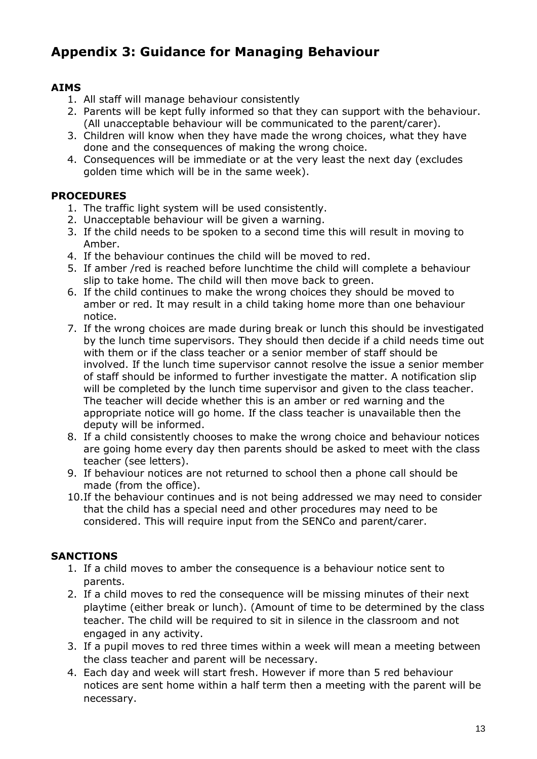# **Appendix 3: Guidance for Managing Behaviour**

### **AIMS**

- 1. All staff will manage behaviour consistently
- 2. Parents will be kept fully informed so that they can support with the behaviour. (All unacceptable behaviour will be communicated to the parent/carer).
- 3. Children will know when they have made the wrong choices, what they have done and the consequences of making the wrong choice.
- 4. Consequences will be immediate or at the very least the next day (excludes golden time which will be in the same week).

### **PROCEDURES**

- 1. The traffic light system will be used consistently.
- 2. Unacceptable behaviour will be given a warning.
- 3. If the child needs to be spoken to a second time this will result in moving to Amber.
- 4. If the behaviour continues the child will be moved to red.
- 5. If amber /red is reached before lunchtime the child will complete a behaviour slip to take home. The child will then move back to green.
- 6. If the child continues to make the wrong choices they should be moved to amber or red. It may result in a child taking home more than one behaviour notice.
- 7. If the wrong choices are made during break or lunch this should be investigated by the lunch time supervisors. They should then decide if a child needs time out with them or if the class teacher or a senior member of staff should be involved. If the lunch time supervisor cannot resolve the issue a senior member of staff should be informed to further investigate the matter. A notification slip will be completed by the lunch time supervisor and given to the class teacher. The teacher will decide whether this is an amber or red warning and the appropriate notice will go home. If the class teacher is unavailable then the deputy will be informed.
- 8. If a child consistently chooses to make the wrong choice and behaviour notices are going home every day then parents should be asked to meet with the class teacher (see letters).
- 9. If behaviour notices are not returned to school then a phone call should be made (from the office).
- 10.If the behaviour continues and is not being addressed we may need to consider that the child has a special need and other procedures may need to be considered. This will require input from the SENCo and parent/carer.

#### **SANCTIONS**

- 1. If a child moves to amber the consequence is a behaviour notice sent to parents.
- 2. If a child moves to red the consequence will be missing minutes of their next playtime (either break or lunch). (Amount of time to be determined by the class teacher. The child will be required to sit in silence in the classroom and not engaged in any activity.
- 3. If a pupil moves to red three times within a week will mean a meeting between the class teacher and parent will be necessary.
- 4. Each day and week will start fresh. However if more than 5 red behaviour notices are sent home within a half term then a meeting with the parent will be necessary.